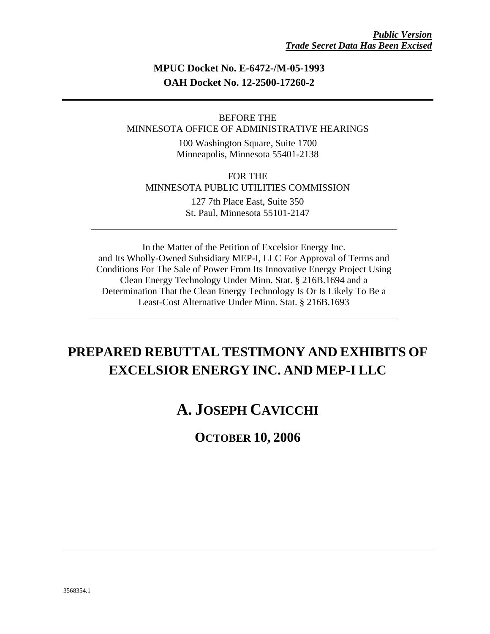## **MPUC Docket No. E-6472-/M-05-1993 OAH Docket No. 12-2500-17260-2**

### BEFORE THE MINNESOTA OFFICE OF ADMINISTRATIVE HEARINGS

100 Washington Square, Suite 1700 Minneapolis, Minnesota 55401-2138

FOR THE MINNESOTA PUBLIC UTILITIES COMMISSION 127 7th Place East, Suite 350 St. Paul, Minnesota 55101-2147

In the Matter of the Petition of Excelsior Energy Inc. and Its Wholly-Owned Subsidiary MEP-I, LLC For Approval of Terms and Conditions For The Sale of Power From Its Innovative Energy Project Using Clean Energy Technology Under Minn. Stat. § 216B.1694 and a Determination That the Clean Energy Technology Is Or Is Likely To Be a Least-Cost Alternative Under Minn. Stat. § 216B.1693

## **PREPARED REBUTTAL TESTIMONY AND EXHIBITS OF EXCELSIOR ENERGY INC. AND MEP-I LLC**

## **A. JOSEPH CAVICCHI**

## **OCTOBER 10, 2006**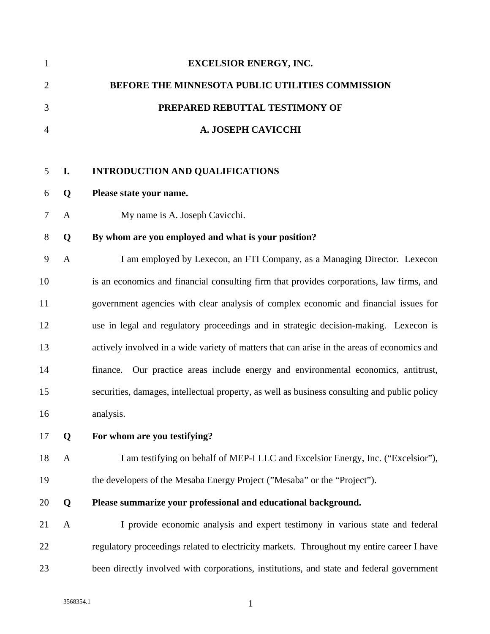| 1            |              | <b>EXCELSIOR ENERGY, INC.</b>                                                                |
|--------------|--------------|----------------------------------------------------------------------------------------------|
| $\mathbf{2}$ |              | BEFORE THE MINNESOTA PUBLIC UTILITIES COMMISSION                                             |
| 3            |              | PREPARED REBUTTAL TESTIMONY OF                                                               |
| 4            |              | A. JOSEPH CAVICCHI                                                                           |
|              |              |                                                                                              |
| 5            | I.           | <b>INTRODUCTION AND QUALIFICATIONS</b>                                                       |
| 6            | Q            | Please state your name.                                                                      |
| 7            | $\mathbf{A}$ | My name is A. Joseph Cavicchi.                                                               |
| 8            | Q            | By whom are you employed and what is your position?                                          |
| 9            | $\mathbf{A}$ | I am employed by Lexecon, an FTI Company, as a Managing Director. Lexecon                    |
| 10           |              | is an economics and financial consulting firm that provides corporations, law firms, and     |
| 11           |              | government agencies with clear analysis of complex economic and financial issues for         |
| 12           |              | use in legal and regulatory proceedings and in strategic decision-making. Lexecon is         |
| 13           |              | actively involved in a wide variety of matters that can arise in the areas of economics and  |
| 14           |              | Our practice areas include energy and environmental economics, antitrust,<br>finance.        |
| 15           |              | securities, damages, intellectual property, as well as business consulting and public policy |
| 16           |              | analysis.                                                                                    |
| 17           | Q            | For whom are you testifying?                                                                 |
| 18           | $\mathbf{A}$ | I am testifying on behalf of MEP-I LLC and Excelsior Energy, Inc. ("Excelsior"),             |
| 19           |              | the developers of the Mesaba Energy Project ("Mesaba" or the "Project").                     |
| 20           | Q            | Please summarize your professional and educational background.                               |
| 21           | $\mathbf{A}$ | I provide economic analysis and expert testimony in various state and federal                |
| 22           |              | regulatory proceedings related to electricity markets. Throughout my entire career I have    |
| 23           |              | been directly involved with corporations, institutions, and state and federal government     |
|              |              |                                                                                              |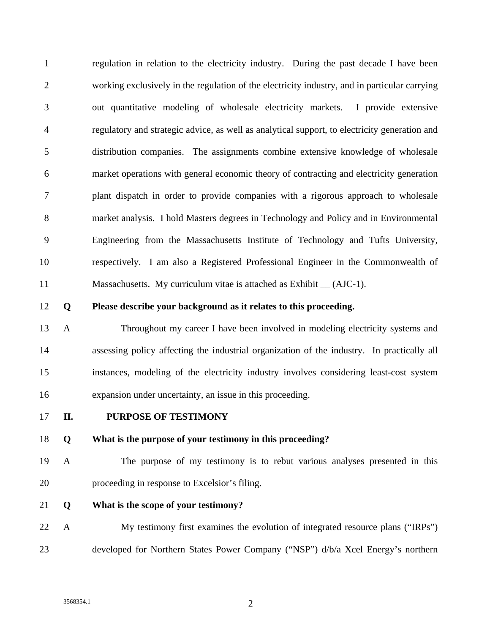1 regulation in relation to the electricity industry. During the past decade I have been 2 working exclusively in the regulation of the electricity industry, and in particular carrying 3 out quantitative modeling of wholesale electricity markets. I provide extensive 4 regulatory and strategic advice, as well as analytical support, to electricity generation and 5 distribution companies. The assignments combine extensive knowledge of wholesale 6 market operations with general economic theory of contracting and electricity generation 7 plant dispatch in order to provide companies with a rigorous approach to wholesale 8 market analysis. I hold Masters degrees in Technology and Policy and in Environmental 9 Engineering from the Massachusetts Institute of Technology and Tufts University, 10 respectively. I am also a Registered Professional Engineer in the Commonwealth of 11 Massachusetts. My curriculum vitae is attached as Exhibit \_\_ (AJC-1).

#### 12 **Q Please describe your background as it relates to this proceeding.**

13 A Throughout my career I have been involved in modeling electricity systems and 14 assessing policy affecting the industrial organization of the industry. In practically all 15 instances, modeling of the electricity industry involves considering least-cost system 16 expansion under uncertainty, an issue in this proceeding.

#### 17 **II. PURPOSE OF TESTIMONY**

#### 18 **Q What is the purpose of your testimony in this proceeding?**

- 19 A The purpose of my testimony is to rebut various analyses presented in this 20 proceeding in response to Excelsior's filing.
- 21 **Q What is the scope of your testimony?**
- 22 A My testimony first examines the evolution of integrated resource plans ("IRPs") 23 developed for Northern States Power Company ("NSP") d/b/a Xcel Energy's northern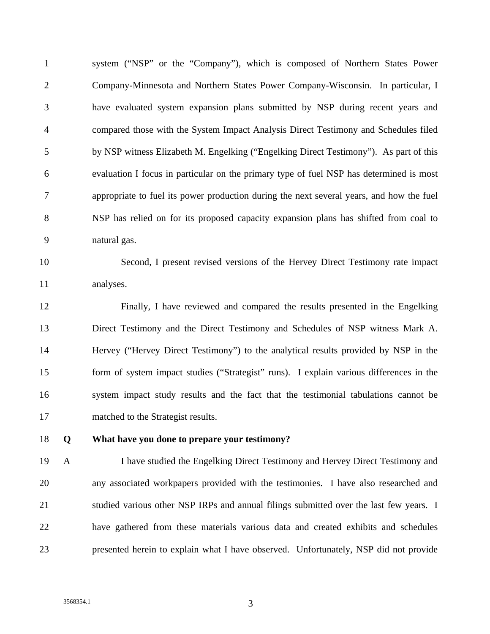1 system ("NSP" or the "Company"), which is composed of Northern States Power 2 Company-Minnesota and Northern States Power Company-Wisconsin. In particular, I 3 have evaluated system expansion plans submitted by NSP during recent years and 4 compared those with the System Impact Analysis Direct Testimony and Schedules filed 5 by NSP witness Elizabeth M. Engelking ("Engelking Direct Testimony"). As part of this 6 evaluation I focus in particular on the primary type of fuel NSP has determined is most 7 appropriate to fuel its power production during the next several years, and how the fuel 8 NSP has relied on for its proposed capacity expansion plans has shifted from coal to 9 natural gas.

10 Second, I present revised versions of the Hervey Direct Testimony rate impact 11 analyses.

12 Finally, I have reviewed and compared the results presented in the Engelking 13 Direct Testimony and the Direct Testimony and Schedules of NSP witness Mark A. 14 Hervey ("Hervey Direct Testimony") to the analytical results provided by NSP in the 15 form of system impact studies ("Strategist" runs). I explain various differences in the 16 system impact study results and the fact that the testimonial tabulations cannot be 17 matched to the Strategist results.

18 **Q What have you done to prepare your testimony?** 

19 A I have studied the Engelking Direct Testimony and Hervey Direct Testimony and 20 any associated workpapers provided with the testimonies. I have also researched and 21 studied various other NSP IRPs and annual filings submitted over the last few years. I 22 have gathered from these materials various data and created exhibits and schedules 23 presented herein to explain what I have observed. Unfortunately, NSP did not provide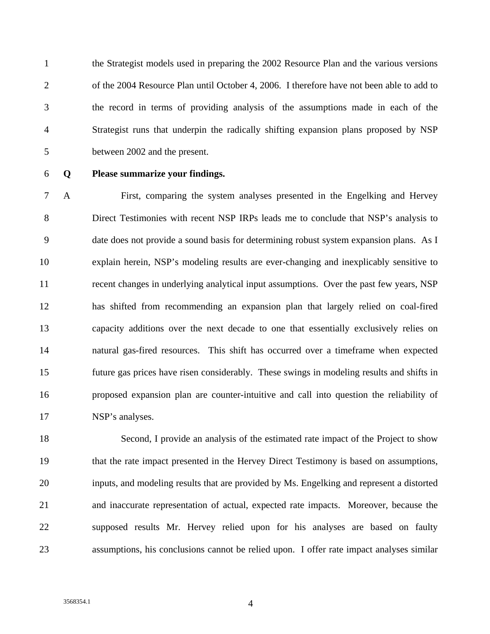1 the Strategist models used in preparing the 2002 Resource Plan and the various versions 2 of the 2004 Resource Plan until October 4, 2006. I therefore have not been able to add to 3 the record in terms of providing analysis of the assumptions made in each of the 4 Strategist runs that underpin the radically shifting expansion plans proposed by NSP 5 between 2002 and the present.

### 6 **Q Please summarize your findings.**

7 A First, comparing the system analyses presented in the Engelking and Hervey 8 Direct Testimonies with recent NSP IRPs leads me to conclude that NSP's analysis to 9 date does not provide a sound basis for determining robust system expansion plans. As I 10 explain herein, NSP's modeling results are ever-changing and inexplicably sensitive to 11 recent changes in underlying analytical input assumptions. Over the past few years, NSP 12 has shifted from recommending an expansion plan that largely relied on coal-fired 13 capacity additions over the next decade to one that essentially exclusively relies on 14 natural gas-fired resources. This shift has occurred over a timeframe when expected 15 future gas prices have risen considerably. These swings in modeling results and shifts in 16 proposed expansion plan are counter-intuitive and call into question the reliability of 17 NSP's analyses.

18 Second, I provide an analysis of the estimated rate impact of the Project to show 19 that the rate impact presented in the Hervey Direct Testimony is based on assumptions, 20 inputs, and modeling results that are provided by Ms. Engelking and represent a distorted 21 and inaccurate representation of actual, expected rate impacts. Moreover, because the 22 supposed results Mr. Hervey relied upon for his analyses are based on faulty 23 assumptions, his conclusions cannot be relied upon. I offer rate impact analyses similar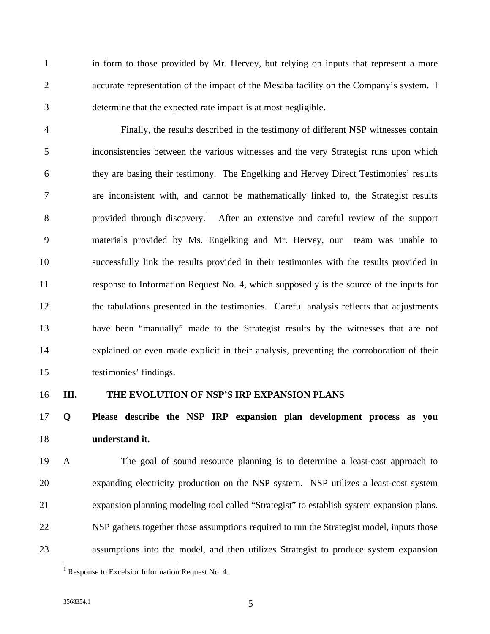1 in form to those provided by Mr. Hervey, but relying on inputs that represent a more 2 accurate representation of the impact of the Mesaba facility on the Company's system. I 3 determine that the expected rate impact is at most negligible.

4 Finally, the results described in the testimony of different NSP witnesses contain 5 inconsistencies between the various witnesses and the very Strategist runs upon which 6 they are basing their testimony. The Engelking and Hervey Direct Testimonies' results 7 are inconsistent with, and cannot be mathematically linked to, the Strategist results 8 provided through discovery.<sup>1</sup> After an extensive and careful review of the support 9 materials provided by Ms. Engelking and Mr. Hervey, our team was unable to 10 successfully link the results provided in their testimonies with the results provided in 11 response to Information Request No. 4, which supposedly is the source of the inputs for 12 the tabulations presented in the testimonies. Careful analysis reflects that adjustments 13 have been "manually" made to the Strategist results by the witnesses that are not 14 explained or even made explicit in their analysis, preventing the corroboration of their 15 testimonies' findings.

#### 16 **III. THE EVOLUTION OF NSP'S IRP EXPANSION PLANS**

## 17 **Q Please describe the NSP IRP expansion plan development process as you**  18 **understand it.**

19 A The goal of sound resource planning is to determine a least-cost approach to 20 expanding electricity production on the NSP system. NSP utilizes a least-cost system 21 expansion planning modeling tool called "Strategist" to establish system expansion plans. 22 NSP gathers together those assumptions required to run the Strategist model, inputs those 23 assumptions into the model, and then utilizes Strategist to produce system expansion

<sup>&</sup>lt;sup>1</sup> Response to Excelsior Information Request No. 4.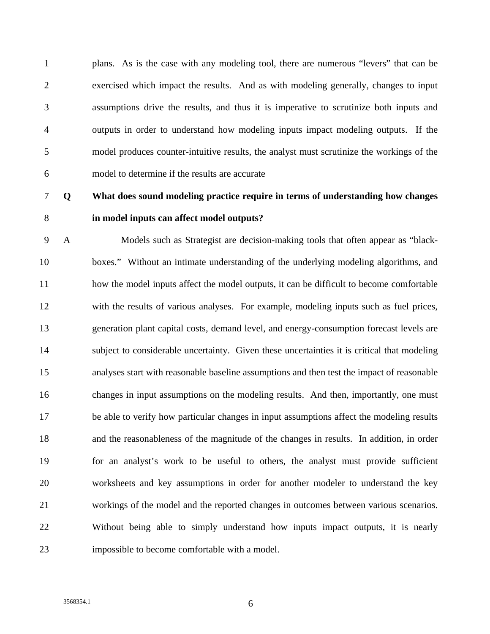1 plans. As is the case with any modeling tool, there are numerous "levers" that can be 2 exercised which impact the results. And as with modeling generally, changes to input 3 assumptions drive the results, and thus it is imperative to scrutinize both inputs and 4 outputs in order to understand how modeling inputs impact modeling outputs. If the 5 model produces counter-intuitive results, the analyst must scrutinize the workings of the 6 model to determine if the results are accurate

## 7 **Q What does sound modeling practice require in terms of understanding how changes**  8 **in model inputs can affect model outputs?**

9 A Models such as Strategist are decision-making tools that often appear as "black-10 boxes." Without an intimate understanding of the underlying modeling algorithms, and 11 how the model inputs affect the model outputs, it can be difficult to become comfortable 12 with the results of various analyses. For example, modeling inputs such as fuel prices, 13 generation plant capital costs, demand level, and energy-consumption forecast levels are 14 subject to considerable uncertainty. Given these uncertainties it is critical that modeling 15 analyses start with reasonable baseline assumptions and then test the impact of reasonable 16 changes in input assumptions on the modeling results. And then, importantly, one must 17 be able to verify how particular changes in input assumptions affect the modeling results 18 and the reasonableness of the magnitude of the changes in results. In addition, in order 19 for an analyst's work to be useful to others, the analyst must provide sufficient 20 worksheets and key assumptions in order for another modeler to understand the key 21 workings of the model and the reported changes in outcomes between various scenarios. 22 Without being able to simply understand how inputs impact outputs, it is nearly 23 impossible to become comfortable with a model.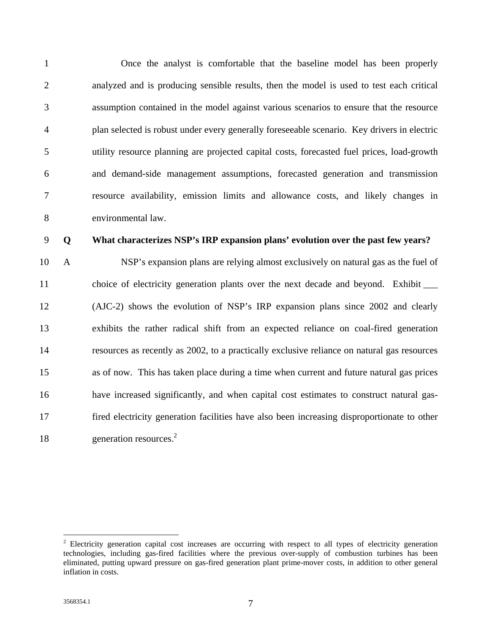1 Once the analyst is comfortable that the baseline model has been properly 2 analyzed and is producing sensible results, then the model is used to test each critical 3 assumption contained in the model against various scenarios to ensure that the resource 4 plan selected is robust under every generally foreseeable scenario. Key drivers in electric 5 utility resource planning are projected capital costs, forecasted fuel prices, load-growth 6 and demand-side management assumptions, forecasted generation and transmission 7 resource availability, emission limits and allowance costs, and likely changes in 8 environmental law.

#### 9 **Q What characterizes NSP's IRP expansion plans' evolution over the past few years?**

10 A NSP's expansion plans are relying almost exclusively on natural gas as the fuel of 11 choice of electricity generation plants over the next decade and beyond. Exhibit  $\Box$ 12 (AJC-2) shows the evolution of NSP's IRP expansion plans since 2002 and clearly 13 exhibits the rather radical shift from an expected reliance on coal-fired generation 14 resources as recently as 2002, to a practically exclusive reliance on natural gas resources 15 as of now. This has taken place during a time when current and future natural gas prices 16 have increased significantly, and when capital cost estimates to construct natural gas-17 fired electricity generation facilities have also been increasing disproportionate to other 18 generation resources.<sup>2</sup>

<sup>&</sup>lt;sup>2</sup> Electricity generation capital cost increases are occurring with respect to all types of electricity generation technologies, including gas-fired facilities where the previous over-supply of combustion turbines has been eliminated, putting upward pressure on gas-fired generation plant prime-mover costs, in addition to other general inflation in costs.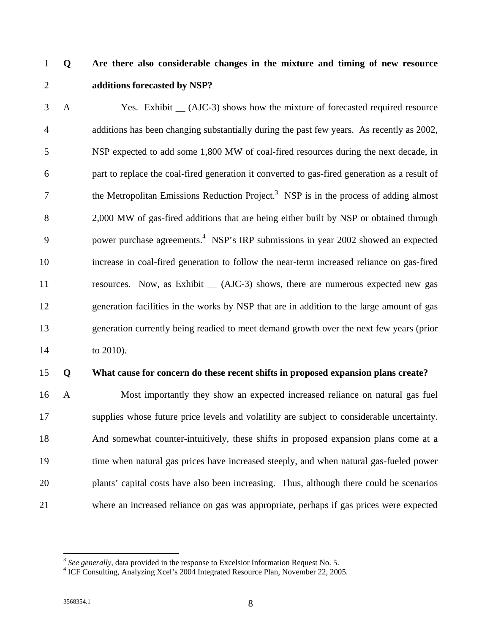## 1 **Q Are there also considerable changes in the mixture and timing of new resource**  2 **additions forecasted by NSP?**

3 A Yes. Exhibit \_\_ (AJC-3) shows how the mixture of forecasted required resource 4 additions has been changing substantially during the past few years. As recently as 2002, 5 NSP expected to add some 1,800 MW of coal-fired resources during the next decade, in 6 part to replace the coal-fired generation it converted to gas-fired generation as a result of the Metropolitan Emissions Reduction Project.<sup>3</sup> NSP is in the process of adding almost 8 2,000 MW of gas-fired additions that are being either built by NSP or obtained through 9 power purchase agreements.<sup>4</sup> NSP's IRP submissions in year 2002 showed an expected 10 increase in coal-fired generation to follow the near-term increased reliance on gas-fired 11 resources. Now, as Exhibit \_\_ (AJC-3) shows, there are numerous expected new gas 12 generation facilities in the works by NSP that are in addition to the large amount of gas 13 generation currently being readied to meet demand growth over the next few years (prior 14 to 2010).

### 15 **Q What cause for concern do these recent shifts in proposed expansion plans create?**

16 A Most importantly they show an expected increased reliance on natural gas fuel 17 supplies whose future price levels and volatility are subject to considerable uncertainty. 18 And somewhat counter-intuitively, these shifts in proposed expansion plans come at a 19 time when natural gas prices have increased steeply, and when natural gas-fueled power 20 plants' capital costs have also been increasing. Thus, although there could be scenarios 21 where an increased reliance on gas was appropriate, perhaps if gas prices were expected

<sup>&</sup>lt;sup>3</sup> See generally, data provided in the response to Excelsior Information Request No. 5.

<sup>&</sup>lt;sup>4</sup> ICF Consulting, Analyzing Xcel's 2004 Integrated Resource Plan, November 22, 2005.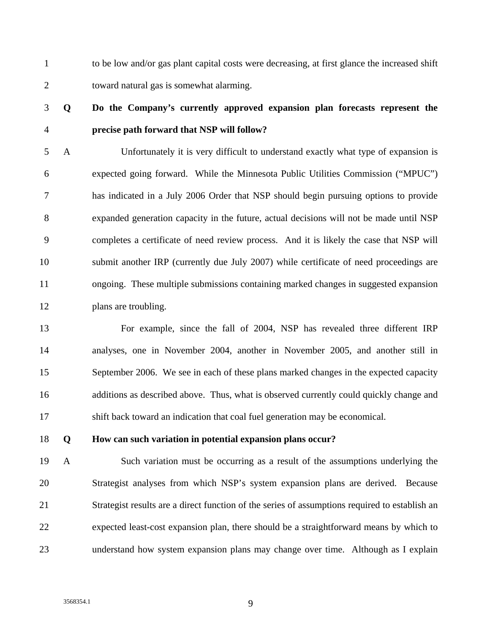1 to be low and/or gas plant capital costs were decreasing, at first glance the increased shift 2 toward natural gas is somewhat alarming.

## 3 **Q Do the Company's currently approved expansion plan forecasts represent the**  4 **precise path forward that NSP will follow?**

5 A Unfortunately it is very difficult to understand exactly what type of expansion is 6 expected going forward. While the Minnesota Public Utilities Commission ("MPUC") 7 has indicated in a July 2006 Order that NSP should begin pursuing options to provide 8 expanded generation capacity in the future, actual decisions will not be made until NSP 9 completes a certificate of need review process. And it is likely the case that NSP will 10 submit another IRP (currently due July 2007) while certificate of need proceedings are 11 ongoing. These multiple submissions containing marked changes in suggested expansion 12 plans are troubling.

13 For example, since the fall of 2004, NSP has revealed three different IRP 14 analyses, one in November 2004, another in November 2005, and another still in 15 September 2006. We see in each of these plans marked changes in the expected capacity 16 additions as described above. Thus, what is observed currently could quickly change and 17 shift back toward an indication that coal fuel generation may be economical.

18 **Q How can such variation in potential expansion plans occur?** 

19 A Such variation must be occurring as a result of the assumptions underlying the 20 Strategist analyses from which NSP's system expansion plans are derived. Because 21 Strategist results are a direct function of the series of assumptions required to establish an 22 expected least-cost expansion plan, there should be a straightforward means by which to 23 understand how system expansion plans may change over time. Although as I explain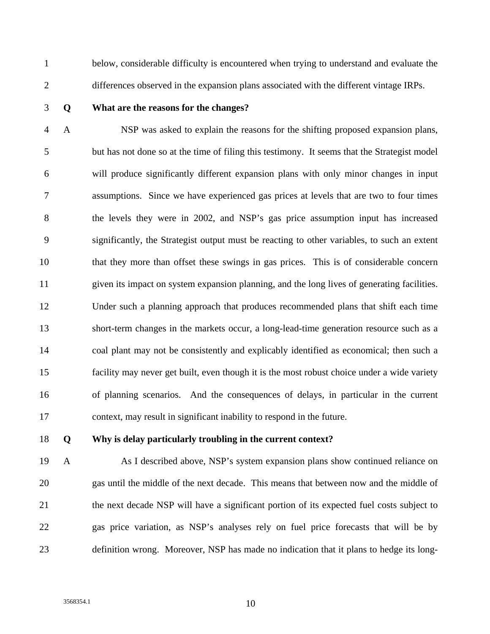1 below, considerable difficulty is encountered when trying to understand and evaluate the 2 differences observed in the expansion plans associated with the different vintage IRPs.

#### 3 **Q What are the reasons for the changes?**

4 A NSP was asked to explain the reasons for the shifting proposed expansion plans, 5 but has not done so at the time of filing this testimony. It seems that the Strategist model 6 will produce significantly different expansion plans with only minor changes in input 7 assumptions. Since we have experienced gas prices at levels that are two to four times 8 the levels they were in 2002, and NSP's gas price assumption input has increased 9 significantly, the Strategist output must be reacting to other variables, to such an extent 10 that they more than offset these swings in gas prices. This is of considerable concern 11 given its impact on system expansion planning, and the long lives of generating facilities. 12 Under such a planning approach that produces recommended plans that shift each time 13 short-term changes in the markets occur, a long-lead-time generation resource such as a 14 coal plant may not be consistently and explicably identified as economical; then such a 15 facility may never get built, even though it is the most robust choice under a wide variety 16 of planning scenarios. And the consequences of delays, in particular in the current 17 context, may result in significant inability to respond in the future.

### 18 **Q Why is delay particularly troubling in the current context?**

19 A As I described above, NSP's system expansion plans show continued reliance on 20 gas until the middle of the next decade. This means that between now and the middle of 21 the next decade NSP will have a significant portion of its expected fuel costs subject to 22 gas price variation, as NSP's analyses rely on fuel price forecasts that will be by 23 definition wrong. Moreover, NSP has made no indication that it plans to hedge its long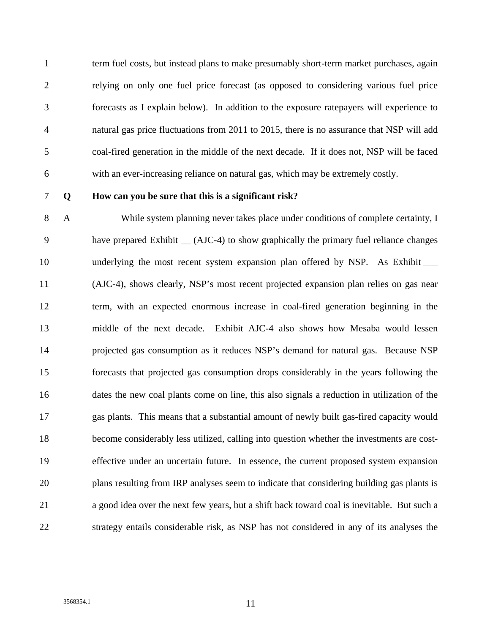1 term fuel costs, but instead plans to make presumably short-term market purchases, again 2 relying on only one fuel price forecast (as opposed to considering various fuel price 3 forecasts as I explain below). In addition to the exposure ratepayers will experience to 4 natural gas price fluctuations from 2011 to 2015, there is no assurance that NSP will add 5 coal-fired generation in the middle of the next decade. If it does not, NSP will be faced 6 with an ever-increasing reliance on natural gas, which may be extremely costly.

#### 7 **Q How can you be sure that this is a significant risk?**

8 A While system planning never takes place under conditions of complete certainty, I 9 have prepared Exhibit \_\_ (AJC-4) to show graphically the primary fuel reliance changes 10 underlying the most recent system expansion plan offered by NSP. As Exhibit  $\qquad$ 11 (AJC-4), shows clearly, NSP's most recent projected expansion plan relies on gas near 12 term, with an expected enormous increase in coal-fired generation beginning in the 13 middle of the next decade. Exhibit AJC-4 also shows how Mesaba would lessen 14 projected gas consumption as it reduces NSP's demand for natural gas. Because NSP 15 forecasts that projected gas consumption drops considerably in the years following the 16 dates the new coal plants come on line, this also signals a reduction in utilization of the 17 gas plants. This means that a substantial amount of newly built gas-fired capacity would 18 become considerably less utilized, calling into question whether the investments are cost-19 effective under an uncertain future. In essence, the current proposed system expansion 20 plans resulting from IRP analyses seem to indicate that considering building gas plants is 21 a good idea over the next few years, but a shift back toward coal is inevitable. But such a 22 strategy entails considerable risk, as NSP has not considered in any of its analyses the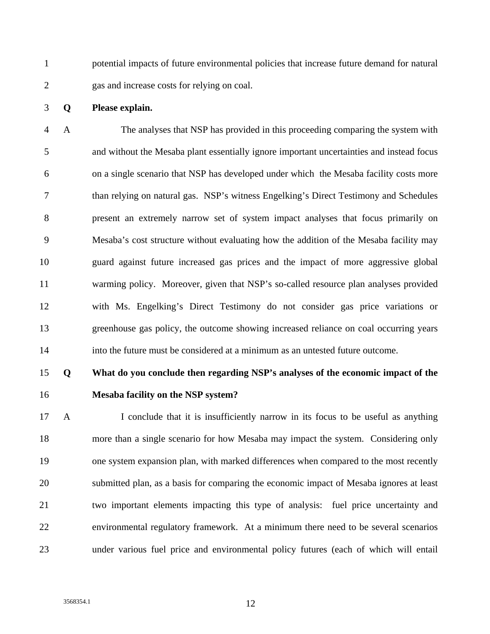1 potential impacts of future environmental policies that increase future demand for natural 2 gas and increase costs for relying on coal.

#### 3 **Q Please explain.**

4 A The analyses that NSP has provided in this proceeding comparing the system with 5 and without the Mesaba plant essentially ignore important uncertainties and instead focus 6 on a single scenario that NSP has developed under which the Mesaba facility costs more 7 than relying on natural gas. NSP's witness Engelking's Direct Testimony and Schedules 8 present an extremely narrow set of system impact analyses that focus primarily on 9 Mesaba's cost structure without evaluating how the addition of the Mesaba facility may 10 guard against future increased gas prices and the impact of more aggressive global 11 warming policy. Moreover, given that NSP's so-called resource plan analyses provided 12 with Ms. Engelking's Direct Testimony do not consider gas price variations or 13 greenhouse gas policy, the outcome showing increased reliance on coal occurring years 14 into the future must be considered at a minimum as an untested future outcome.

## 15 **Q What do you conclude then regarding NSP's analyses of the economic impact of the**

16 **Mesaba facility on the NSP system?** 

17 A I conclude that it is insufficiently narrow in its focus to be useful as anything 18 more than a single scenario for how Mesaba may impact the system. Considering only 19 one system expansion plan, with marked differences when compared to the most recently 20 submitted plan, as a basis for comparing the economic impact of Mesaba ignores at least 21 two important elements impacting this type of analysis: fuel price uncertainty and 22 environmental regulatory framework. At a minimum there need to be several scenarios 23 under various fuel price and environmental policy futures (each of which will entail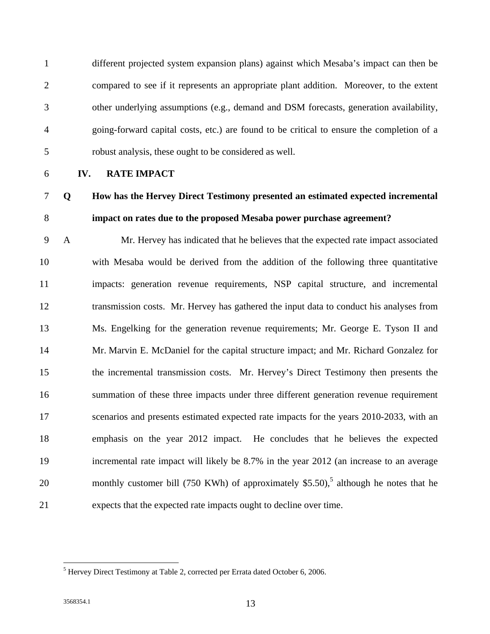1 different projected system expansion plans) against which Mesaba's impact can then be 2 compared to see if it represents an appropriate plant addition. Moreover, to the extent 3 other underlying assumptions (e.g., demand and DSM forecasts, generation availability, 4 going-forward capital costs, etc.) are found to be critical to ensure the completion of a 5 robust analysis, these ought to be considered as well.

6 **IV. RATE IMPACT**

## 7 **Q How has the Hervey Direct Testimony presented an estimated expected incremental**  8 **impact on rates due to the proposed Mesaba power purchase agreement?**

9 A Mr. Hervey has indicated that he believes that the expected rate impact associated 10 with Mesaba would be derived from the addition of the following three quantitative 11 impacts: generation revenue requirements, NSP capital structure, and incremental 12 transmission costs. Mr. Hervey has gathered the input data to conduct his analyses from 13 Ms. Engelking for the generation revenue requirements; Mr. George E. Tyson II and 14 Mr. Marvin E. McDaniel for the capital structure impact; and Mr. Richard Gonzalez for 15 the incremental transmission costs. Mr. Hervey's Direct Testimony then presents the 16 summation of these three impacts under three different generation revenue requirement 17 scenarios and presents estimated expected rate impacts for the years 2010-2033, with an 18 emphasis on the year 2012 impact. He concludes that he believes the expected 19 incremental rate impact will likely be 8.7% in the year 2012 (an increase to an average 20 monthly customer bill (750 KWh) of approximately \$5.50),<sup>5</sup> although he notes that he 21 expects that the expected rate impacts ought to decline over time.

 $<sup>5</sup>$  Hervey Direct Testimony at Table 2, corrected per Errata dated October 6, 2006.</sup>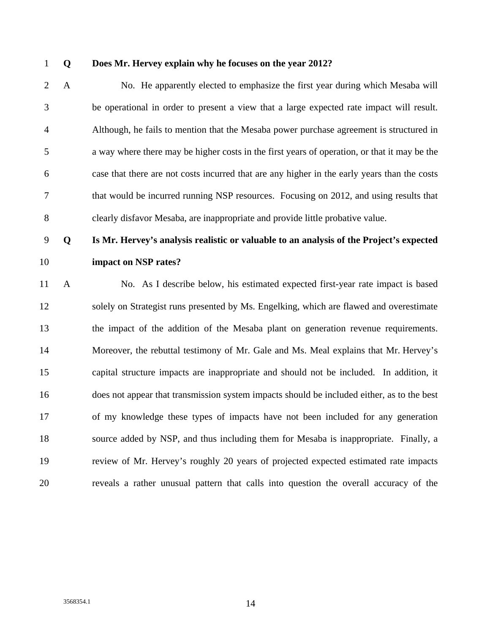#### 1 **Q Does Mr. Hervey explain why he focuses on the year 2012?**

2 A No. He apparently elected to emphasize the first year during which Mesaba will 3 be operational in order to present a view that a large expected rate impact will result. 4 Although, he fails to mention that the Mesaba power purchase agreement is structured in 5 a way where there may be higher costs in the first years of operation, or that it may be the 6 case that there are not costs incurred that are any higher in the early years than the costs 7 that would be incurred running NSP resources. Focusing on 2012, and using results that 8 clearly disfavor Mesaba, are inappropriate and provide little probative value.

## 9 **Q Is Mr. Hervey's analysis realistic or valuable to an analysis of the Project's expected**  10 **impact on NSP rates?**

11 A No. As I describe below, his estimated expected first-year rate impact is based 12 solely on Strategist runs presented by Ms. Engelking, which are flawed and overestimate 13 the impact of the addition of the Mesaba plant on generation revenue requirements. 14 Moreover, the rebuttal testimony of Mr. Gale and Ms. Meal explains that Mr. Hervey's 15 capital structure impacts are inappropriate and should not be included. In addition, it 16 does not appear that transmission system impacts should be included either, as to the best 17 of my knowledge these types of impacts have not been included for any generation 18 source added by NSP, and thus including them for Mesaba is inappropriate. Finally, a 19 review of Mr. Hervey's roughly 20 years of projected expected estimated rate impacts 20 reveals a rather unusual pattern that calls into question the overall accuracy of the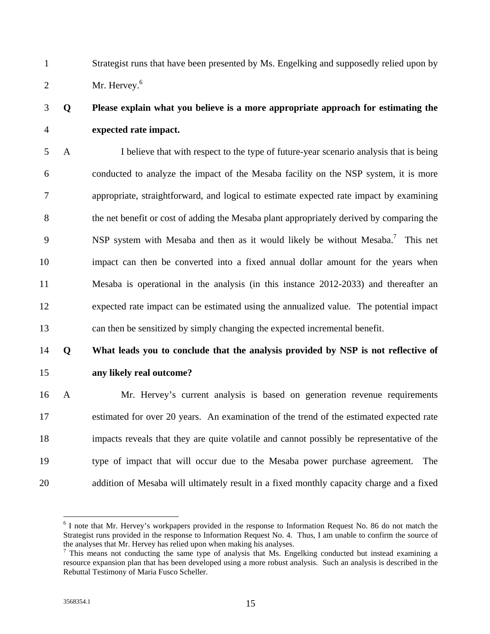1 Strategist runs that have been presented by Ms. Engelking and supposedly relied upon by 2 Mr. Hervey. $6$ 

## 3 **Q Please explain what you believe is a more appropriate approach for estimating the**  4 **expected rate impact.**

5 A I believe that with respect to the type of future-year scenario analysis that is being 6 conducted to analyze the impact of the Mesaba facility on the NSP system, it is more 7 appropriate, straightforward, and logical to estimate expected rate impact by examining 8 the net benefit or cost of adding the Mesaba plant appropriately derived by comparing the 9 NSP system with Mesaba and then as it would likely be without Mesaba.<sup>7</sup> This net 10 impact can then be converted into a fixed annual dollar amount for the years when 11 Mesaba is operational in the analysis (in this instance 2012-2033) and thereafter an 12 expected rate impact can be estimated using the annualized value. The potential impact 13 can then be sensitized by simply changing the expected incremental benefit.

## 14 **Q What leads you to conclude that the analysis provided by NSP is not reflective of**  15 **any likely real outcome?**

16 A Mr. Hervey's current analysis is based on generation revenue requirements 17 estimated for over 20 years. An examination of the trend of the estimated expected rate 18 impacts reveals that they are quite volatile and cannot possibly be representative of the 19 type of impact that will occur due to the Mesaba power purchase agreement. The 20 addition of Mesaba will ultimately result in a fixed monthly capacity charge and a fixed

<sup>&</sup>lt;sup>6</sup> I note that Mr. Hervey's workpapers provided in the response to Information Request No. 86 do not match the Strategist runs provided in the response to Information Request No. 4. Thus, I am unable to confirm the source of the analyses that Mr. Hervey has relied upon when making his analyses.

 $7$  This means not conducting the same type of analysis that Ms. Engelking conducted but instead examining a resource expansion plan that has been developed using a more robust analysis. Such an analysis is described in the Rebuttal Testimony of Maria Fusco Scheller.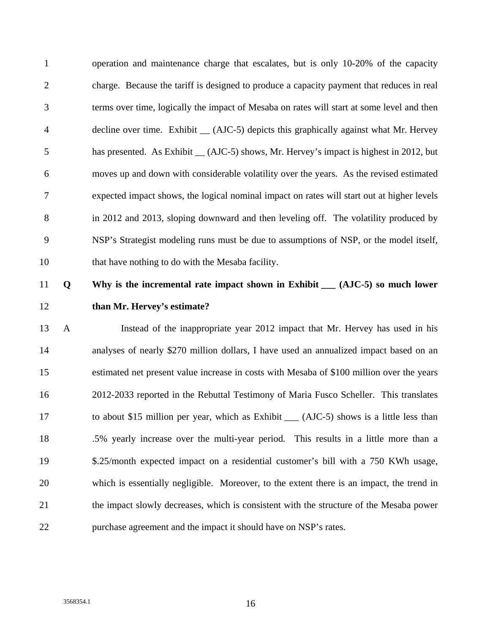1 operation and maintenance charge that escalates, but is only 10-20% of the capacity 2 charge. Because the tariff is designed to produce a capacity payment that reduces in real 3 terms over time, logically the impact of Mesaba on rates will start at some level and then 4 decline over time. Exhibit \_\_ (AJC-5) depicts this graphically against what Mr. Hervey 5 has presented. As Exhibit  $_{\text{AIC}}$  (AJC-5) shows, Mr. Hervey's impact is highest in 2012, but 6 moves up and down with considerable volatility over the years. As the revised estimated 7 expected impact shows, the logical nominal impact on rates will start out at higher levels 8 in 2012 and 2013, sloping downward and then leveling off. The volatility produced by 9 NSP's Strategist modeling runs must be due to assumptions of NSP, or the model itself, 10 that have nothing to do with the Mesaba facility.

## 11 **Q Why is the incremental rate impact shown in Exhibit \_\_\_ (AJC-5) so much lower**  12 **than Mr. Hervey's estimate?**

13 A Instead of the inappropriate year 2012 impact that Mr. Hervey has used in his 14 analyses of nearly \$270 million dollars, I have used an annualized impact based on an 15 estimated net present value increase in costs with Mesaba of \$100 million over the years 16 2012-2033 reported in the Rebuttal Testimony of Maria Fusco Scheller. This translates 17 to about \$15 million per year, which as Exhibit \_\_\_ (AJC-5) shows is a little less than 18 .5% yearly increase over the multi-year period. This results in a little more than a 19 \$.25/month expected impact on a residential customer's bill with a 750 KWh usage, 20 which is essentially negligible. Moreover, to the extent there is an impact, the trend in 21 the impact slowly decreases, which is consistent with the structure of the Mesaba power 22 purchase agreement and the impact it should have on NSP's rates.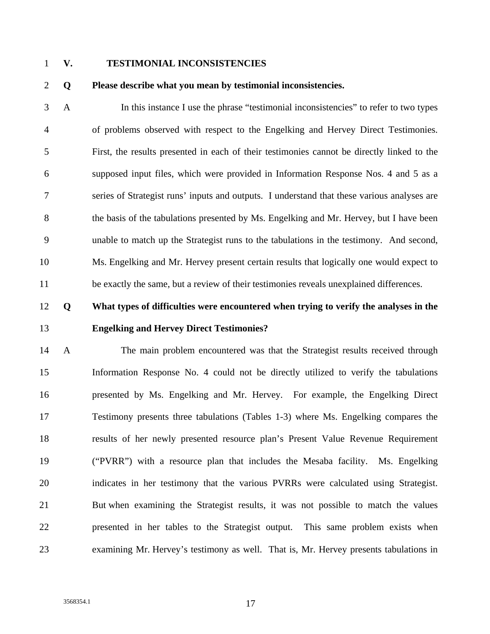### 1 **V. TESTIMONIAL INCONSISTENCIES**

2 **Q Please describe what you mean by testimonial inconsistencies.** 

3 A In this instance I use the phrase "testimonial inconsistencies" to refer to two types 4 of problems observed with respect to the Engelking and Hervey Direct Testimonies. 5 First, the results presented in each of their testimonies cannot be directly linked to the 6 supposed input files, which were provided in Information Response Nos. 4 and 5 as a 7 series of Strategist runs' inputs and outputs. I understand that these various analyses are 8 the basis of the tabulations presented by Ms. Engelking and Mr. Hervey, but I have been 9 unable to match up the Strategist runs to the tabulations in the testimony. And second, 10 Ms. Engelking and Mr. Hervey present certain results that logically one would expect to 11 be exactly the same, but a review of their testimonies reveals unexplained differences.

## 12 **Q What types of difficulties were encountered when trying to verify the analyses in the**  13 **Engelking and Hervey Direct Testimonies?**

14 A The main problem encountered was that the Strategist results received through 15 Information Response No. 4 could not be directly utilized to verify the tabulations 16 presented by Ms. Engelking and Mr. Hervey. For example, the Engelking Direct 17 Testimony presents three tabulations (Tables 1-3) where Ms. Engelking compares the 18 results of her newly presented resource plan's Present Value Revenue Requirement 19 ("PVRR") with a resource plan that includes the Mesaba facility. Ms. Engelking 20 indicates in her testimony that the various PVRRs were calculated using Strategist. 21 But when examining the Strategist results, it was not possible to match the values 22 presented in her tables to the Strategist output. This same problem exists when 23 examining Mr. Hervey's testimony as well. That is, Mr. Hervey presents tabulations in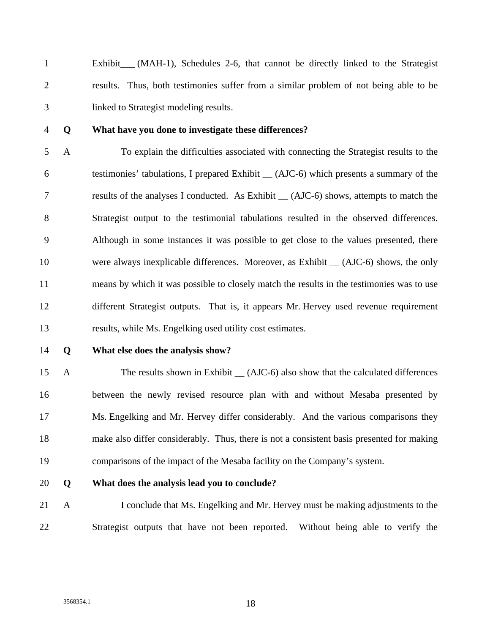1 Exhibit\_\_\_ (MAH-1), Schedules 2-6, that cannot be directly linked to the Strategist 2 results. Thus, both testimonies suffer from a similar problem of not being able to be 3 linked to Strategist modeling results.

#### 4 **Q What have you done to investigate these differences?**

5 A To explain the difficulties associated with connecting the Strategist results to the 6 testimonies' tabulations, I prepared Exhibit \_\_ (AJC-6) which presents a summary of the 7 results of the analyses I conducted. As Exhibit \_\_ (AJC-6) shows, attempts to match the 8 Strategist output to the testimonial tabulations resulted in the observed differences. 9 Although in some instances it was possible to get close to the values presented, there 10 were always inexplicable differences. Moreover, as Exhibit  $\angle$  (AJC-6) shows, the only 11 means by which it was possible to closely match the results in the testimonies was to use 12 different Strategist outputs. That is, it appears Mr. Hervey used revenue requirement 13 results, while Ms. Engelking used utility cost estimates.

#### 14 **Q What else does the analysis show?**

15 A The results shown in Exhibit (AJC-6) also show that the calculated differences 16 between the newly revised resource plan with and without Mesaba presented by 17 Ms. Engelking and Mr. Hervey differ considerably. And the various comparisons they 18 make also differ considerably. Thus, there is not a consistent basis presented for making 19 comparisons of the impact of the Mesaba facility on the Company's system.

### 20 **Q What does the analysis lead you to conclude?**

21 A I conclude that Ms. Engelking and Mr. Hervey must be making adjustments to the 22 Strategist outputs that have not been reported. Without being able to verify the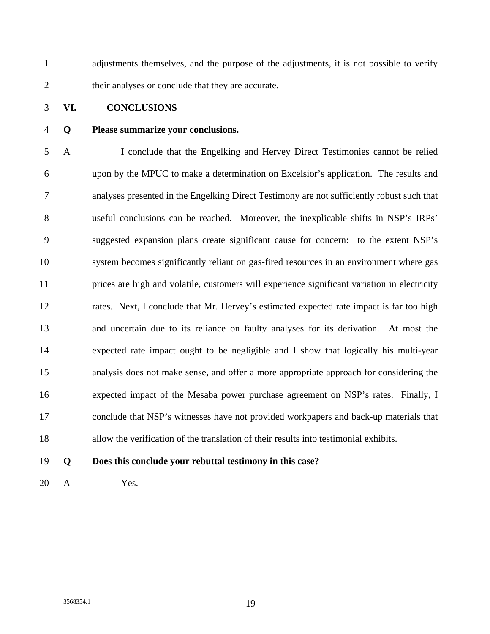1 adjustments themselves, and the purpose of the adjustments, it is not possible to verify 2 their analyses or conclude that they are accurate.

### 3 **VI. CONCLUSIONS**

### 4 **Q Please summarize your conclusions.**

5 A I conclude that the Engelking and Hervey Direct Testimonies cannot be relied 6 upon by the MPUC to make a determination on Excelsior's application. The results and 7 analyses presented in the Engelking Direct Testimony are not sufficiently robust such that 8 useful conclusions can be reached. Moreover, the inexplicable shifts in NSP's IRPs' 9 suggested expansion plans create significant cause for concern: to the extent NSP's 10 system becomes significantly reliant on gas-fired resources in an environment where gas 11 prices are high and volatile, customers will experience significant variation in electricity 12 rates. Next, I conclude that Mr. Hervey's estimated expected rate impact is far too high 13 and uncertain due to its reliance on faulty analyses for its derivation. At most the 14 expected rate impact ought to be negligible and I show that logically his multi-year 15 analysis does not make sense, and offer a more appropriate approach for considering the 16 expected impact of the Mesaba power purchase agreement on NSP's rates. Finally, I 17 conclude that NSP's witnesses have not provided workpapers and back-up materials that 18 allow the verification of the translation of their results into testimonial exhibits.

19 **Q Does this conclude your rebuttal testimony in this case?** 

20 A Yes.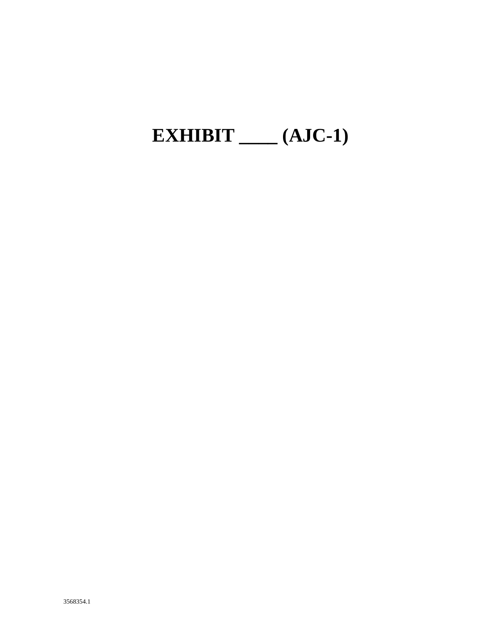## EXHIBIT  $\_\_\_\$ (AJC-1)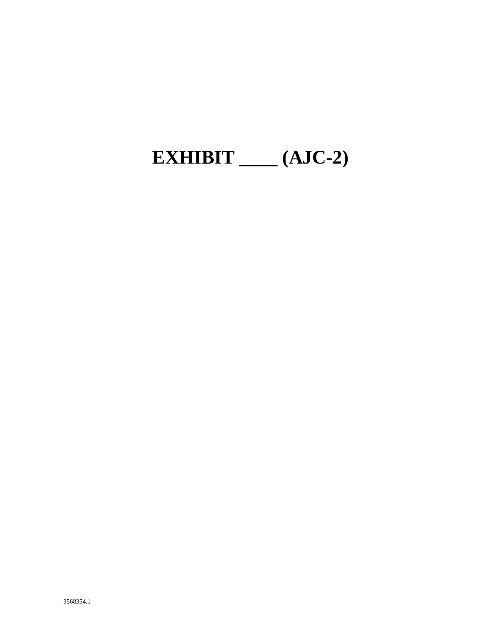## EXHIBIT  $\_\_\_\$ (AJC-2)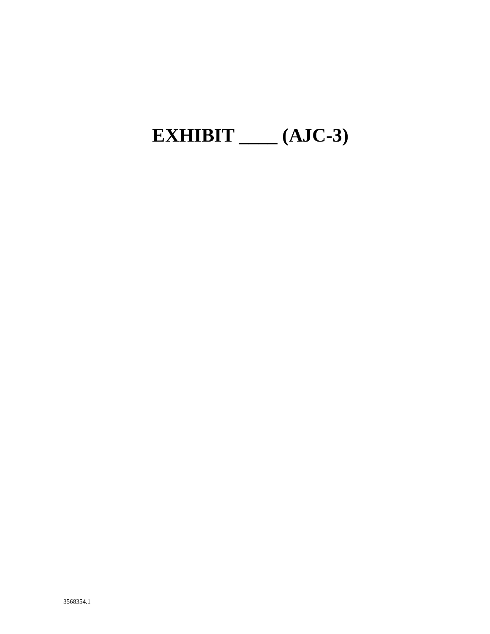# EXHIBIT  $\_\_\_\$ (AJC-3)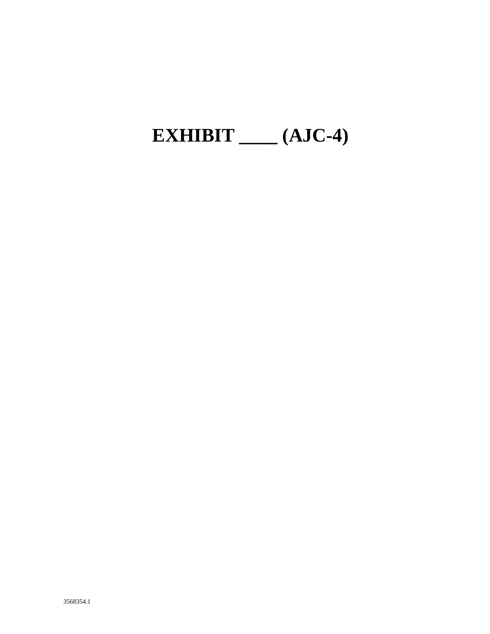# EXHIBIT  $\_\_\_\$ (AJC-4)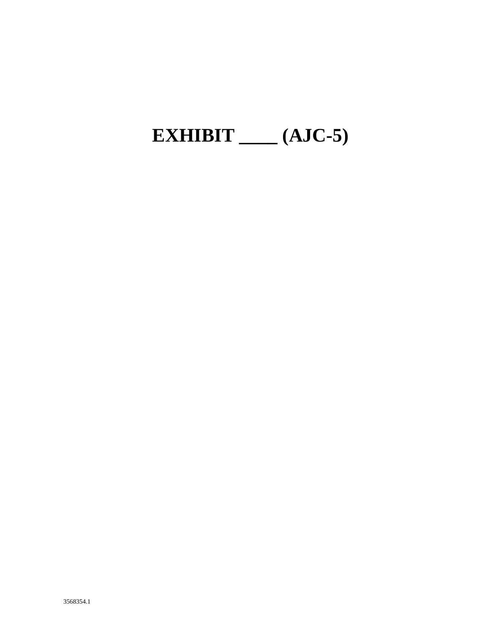# EXHIBIT  $\_\_\_\$ (AJC-5)